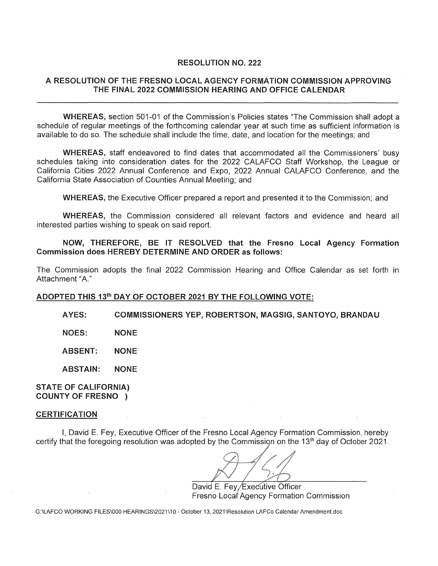#### RESOLUTION NO. 222

## A RESOLUTION OF THE FRESNO LOCAL AGENCY FORMATION COMMISSION APPROVING THE FINAL 2022 COMMISSION HEARING AND OFFICE CALENDAR

WHEREAS, section 501-01 of the Commission's Policies states "The Commission shall adopt a schedule of regular meetings of the forthcoming calendar year at such time as sufficient information is available to do so. The schedule shall include the time, date, and location for the meetings; and

WHEREAS, staff endeavored to find dates that accommodated all the Commissioners' busy schedules taking into consideration dates for the 2022 CALAFCO Staff Workshop, the League or California Cities 2022 Annual Conference and Expo, 2022 Annual CALAFCO Conference, and the California State Association of Counties Annual Meeting; and

WHEREAS, the Executive Officer prepared a report and presented it to the Commission; and

WHEREAS, the Commission considered all relevant factors and evidence and heard all interested parties wishing to speak on said report.

NOW, THEREFORE, BE IT RESOLVED that the Fresno Local Agency Formation Commission does HEREBY DETERMINE AND ORDER as follows:

The Commission adopts the final 2022 Commission Hearing and Office Calendar as set forth in Attachment "A."

### ADOPTED THIS 13th DAY OF OCTOBER 2021 BY THE FOLLOWING VOTE:

AYES: COMMISSIONERS YEP, ROBERTSON, MAGSIG, SANTOYO, BRANDAU

NOES: NONE

ABSENT: NONE

ABSTAIN: NONE

STATE OF CALIFORNIA) COUNTY OF FRESNO )

#### CERTIFICATION

I, David E. Fey, Executive Officer of the Fresno Local Agency Formation Commission, hereby certify that the foregoing resolution was adopted by the Commission on the 13<sup>th</sup> day of October 2021.

9+--1/ *4* N I *J·-1-;* . I -~1 #

David E. Fey, Executive Officer Fresno Local Agency Formation Commission

G:\LAFCO WORKING FILES\000 HEARINGS\2021\10- October 13, 2021\Resolution LAFCo Calendar Amendment.doc